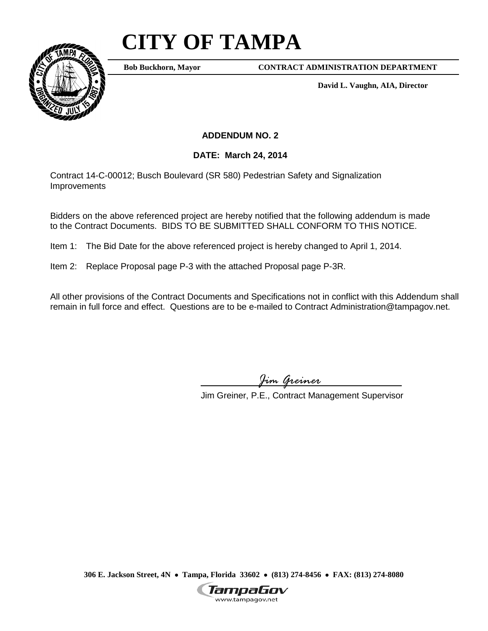## **CITY OF TAMPA**



**Bob Buckhorn, Mayor**

**CONTRACT ADMINISTRATION DEPARTMENT**

**David L. Vaughn, AIA, Director**

## **ADDENDUM NO. 2**

## **DATE: March 24, 2014**

Contract 14-C-00012; Busch Boulevard (SR 580) Pedestrian Safety and Signalization Improvements

Bidders on the above referenced project are hereby notified that the following addendum is made to the Contract Documents. BIDS TO BE SUBMITTED SHALL CONFORM TO THIS NOTICE.

Item 1: The Bid Date for the above referenced project is hereby changed to April 1, 2014.

Item 2: Replace Proposal page P-3 with the attached Proposal page P-3R.

All other provisions of the Contract Documents and Specifications not in conflict with this Addendum shall remain in full force and effect. Questions are to be e-mailed to Contract Administration@tampagov.net.

*Jim Greiner*

Jim Greiner, P.E., Contract Management Supervisor

**306 E. Jackson Street, 4N** • **Tampa, Florida 33602** • **(813) 274-8456** • **FAX: (813) 274-8080**